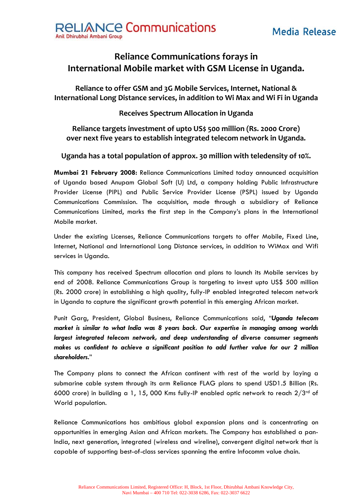



## **Reliance Communications forays in International Mobile market with GSM License in Uganda.**

**Reliance to offer GSM and 3G Mobile Services, Internet, National & International Long Distance services, in addition to Wi Max and Wi Fi in Uganda**

**Receives Spectrum Allocation in Uganda**

## **Reliance targets investment of upto US\$ 500 million (Rs. 2000 Crore) over next five years to establish integrated telecom network in Uganda.**

## **Uganda has a total population of approx. 30 million with teledensity of 10%.**

**Mumbai 21 February 2008:** Reliance Communications Limited today announced acquisition of Uganda based Anupam Global Soft (U) Ltd, a company holding Public Infrastructure Provider License (PIPL) and Public Service Provider License (PSPL) issued by Uganda Communications Commission. The acquisition, made through a subsidiary of Reliance Communications Limited, marks the first step in the Company's plans in the International Mobile market.

Under the existing Licenses, Reliance Communications targets to offer Mobile, Fixed Line, Internet, National and International Long Distance services, in addition to WiMax and Wifi services in Uganda.

This company has received Spectrum allocation and plans to launch its Mobile services by end of 2008. Reliance Communications Group is targeting to invest upto US\$ 500 million (Rs. 2000 crore) in establishing a high quality, fully-IP enabled integrated telecom network in Uganda to capture the significant growth potential in this emerging African market.

Punit Garg, President, Global Business, Reliance Communications said, "*Uganda telecom market is similar to what India was 8 years back. Our expertise in managing among worlds largest integrated telecom network, and deep understanding of diverse consumer segments makes us confident to achieve a significant position to add further value for our 2 million shareholders.*"

The Company plans to connect the African continent with rest of the world by laying a submarine cable system through its arm Reliance FLAG plans to spend USD1.5 Billion (Rs. 6000 crore) in building a 1, 15, 000 Kms fully-IP enabled optic network to reach  $2/3^{rd}$  of World population.

Reliance Communications has ambitious global expansion plans and is concentrating on opportunities in emerging Asian and African markets. The Company has established a pan-India, next generation, integrated (wireless and wireline), convergent digital network that is capable of supporting best-of-class services spanning the entire Infocomm value chain.